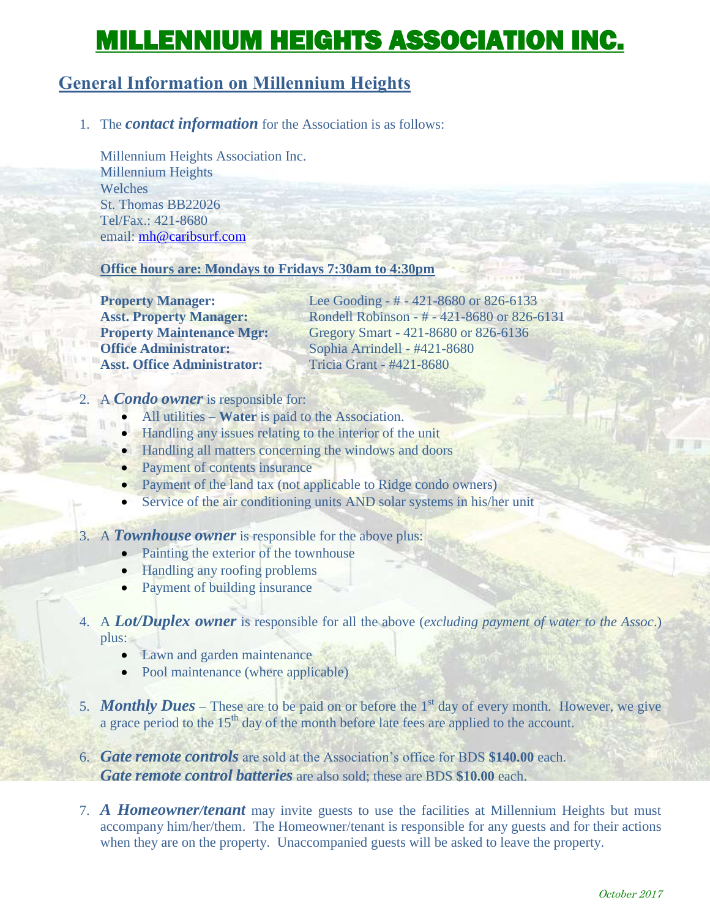# MILLENNIUM HEIGHTS ASSOCIATION INC.

# **General Information on Millennium Heights**

## 1. The *contact information* for the Association is as follows:

Millennium Heights Association Inc. Millennium Heights Welches St. Thomas BB22026 Tel/Fax.: 421-8680 email: [mh@caribsurf.com](mailto:mh@caribsurf.com)

#### **Office hours are: Mondays to Fridays 7:30am to 4:30pm**

**Office Administrator:** Sophia Arrindell - #421-8680 **Asst. Office Administrator:** Tricia Grant - #421-8680

**Property Manager:** Lee Gooding - # - 421-8680 or 826-6133 **Asst. Property Manager:** Rondell Robinson - # - 421-8680 or 826-6131 **Property Maintenance Mgr:** Gregory Smart - 421-8680 or 826-6136

#### 2. A *Condo owner* is responsible for:

- All utilities **Water** is paid to the Association.
- Handling any issues relating to the interior of the unit
- Handling all matters concerning the windows and doors
- Payment of contents insurance
- Payment of the land tax (not applicable to Ridge condo owners)
- Service of the air conditioning units AND solar systems in his/her unit

#### 3. A *Townhouse owner* is responsible for the above plus:

- Painting the exterior of the townhouse
- Handling any roofing problems
- Payment of building insurance

## 4. A *Lot/Duplex owner* is responsible for all the above (*excluding payment of water to the Assoc*.) plus:

- Lawn and garden maintenance
- Pool maintenance (where applicable)
- 5. **Monthly Dues** These are to be paid on or before the 1<sup>st</sup> day of every month. However, we give a grace period to the 15<sup>th</sup> day of the month before late fees are applied to the account.
- 6. *Gate remote controls* are sold at the Association's office for BDS **\$140.00** each. *Gate remote control batteries* are also sold; these are BDS **\$10.00** each.
- 7. *A Homeowner/tenant* may invite guests to use the facilities at Millennium Heights but must accompany him/her/them. The Homeowner/tenant is responsible for any guests and for their actions when they are on the property. Unaccompanied guests will be asked to leave the property.